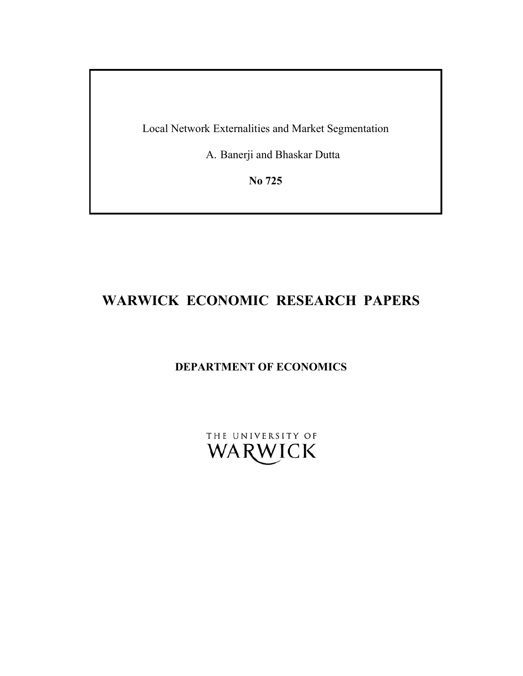Local Network Externalities and Market Segmentation

A. Banerji and Bhaskar Dutta

**No 725** 

# **WARWICK ECONOMIC RESEARCH PAPERS**

# **DEPARTMENT OF ECONOMICS**

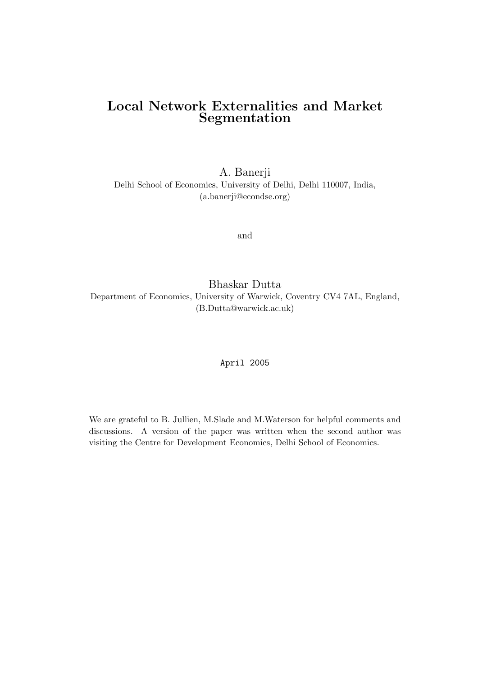## Local Network Externalities and Market Segmentation

A. Banerji Delhi School of Economics, University of Delhi, Delhi 110007, India, (a.banerji@econdse.org)

and

Bhaskar Dutta Department of Economics, University of Warwick, Coventry CV4 7AL, England, (B.Dutta@warwick.ac.uk)

April 2005

We are grateful to B. Jullien, M.Slade and M.Waterson for helpful comments and discussions. A version of the paper was written when the second author was visiting the Centre for Development Economics, Delhi School of Economics.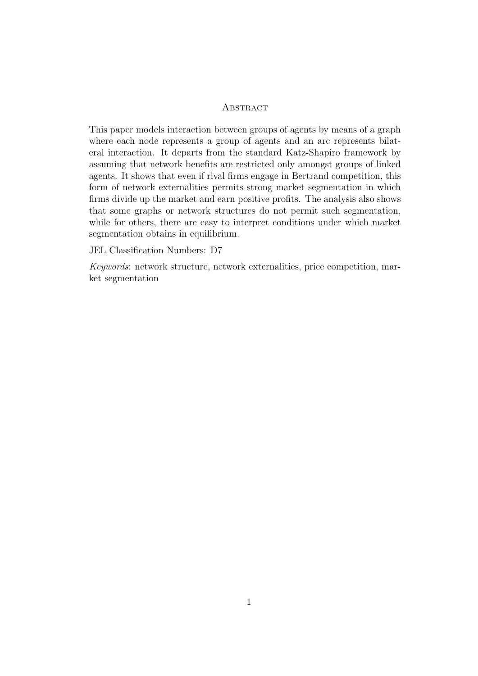#### **ABSTRACT**

This paper models interaction between groups of agents by means of a graph where each node represents a group of agents and an arc represents bilateral interaction. It departs from the standard Katz-Shapiro framework by assuming that network benefits are restricted only amongst groups of linked agents. It shows that even if rival firms engage in Bertrand competition, this form of network externalities permits strong market segmentation in which firms divide up the market and earn positive profits. The analysis also shows that some graphs or network structures do not permit such segmentation, while for others, there are easy to interpret conditions under which market segmentation obtains in equilibrium.

JEL Classification Numbers: D7

Keywords: network structure, network externalities, price competition, market segmentation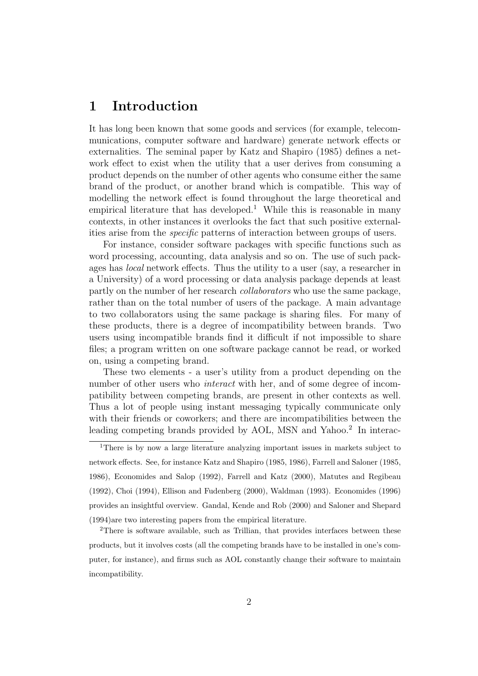# 1 Introduction

It has long been known that some goods and services (for example, telecommunications, computer software and hardware) generate network effects or externalities. The seminal paper by Katz and Shapiro (1985) defines a network effect to exist when the utility that a user derives from consuming a product depends on the number of other agents who consume either the same brand of the product, or another brand which is compatible. This way of modelling the network effect is found throughout the large theoretical and empirical literature that has developed.<sup>1</sup> While this is reasonable in many contexts, in other instances it overlooks the fact that such positive externalities arise from the specific patterns of interaction between groups of users.

For instance, consider software packages with specific functions such as word processing, accounting, data analysis and so on. The use of such packages has local network effects. Thus the utility to a user (say, a researcher in a University) of a word processing or data analysis package depends at least partly on the number of her research collaborators who use the same package, rather than on the total number of users of the package. A main advantage to two collaborators using the same package is sharing files. For many of these products, there is a degree of incompatibility between brands. Two users using incompatible brands find it difficult if not impossible to share files; a program written on one software package cannot be read, or worked on, using a competing brand.

These two elements - a user's utility from a product depending on the number of other users who *interact* with her, and of some degree of incompatibility between competing brands, are present in other contexts as well. Thus a lot of people using instant messaging typically communicate only with their friends or coworkers; and there are incompatibilities between the leading competing brands provided by AOL, MSN and Yahoo.<sup>2</sup> In interac-

<sup>&</sup>lt;sup>1</sup>There is by now a large literature analyzing important issues in markets subject to network effects. See, for instance Katz and Shapiro (1985, 1986), Farrell and Saloner (1985, 1986), Economides and Salop (1992), Farrell and Katz (2000), Matutes and Regibeau (1992), Choi (1994), Ellison and Fudenberg (2000), Waldman (1993). Economides (1996) provides an insightful overview. Gandal, Kende and Rob (2000) and Saloner and Shepard (1994)are two interesting papers from the empirical literature.

<sup>2</sup>There is software available, such as Trillian, that provides interfaces between these products, but it involves costs (all the competing brands have to be installed in one's computer, for instance), and firms such as AOL constantly change their software to maintain incompatibility.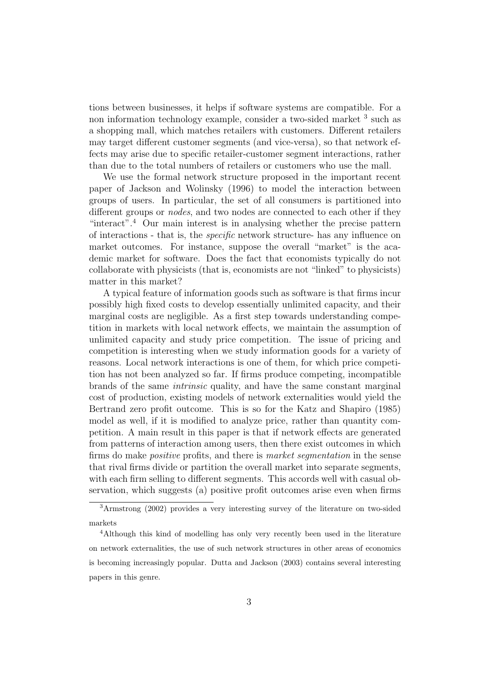tions between businesses, it helps if software systems are compatible. For a non information technology example, consider a two-sided market <sup>3</sup> such as a shopping mall, which matches retailers with customers. Different retailers may target different customer segments (and vice-versa), so that network effects may arise due to specific retailer-customer segment interactions, rather than due to the total numbers of retailers or customers who use the mall.

We use the formal network structure proposed in the important recent paper of Jackson and Wolinsky (1996) to model the interaction between groups of users. In particular, the set of all consumers is partitioned into different groups or nodes, and two nodes are connected to each other if they "interact".<sup>4</sup> Our main interest is in analysing whether the precise pattern of interactions - that is, the specific network structure- has any influence on market outcomes. For instance, suppose the overall "market" is the academic market for software. Does the fact that economists typically do not collaborate with physicists (that is, economists are not "linked" to physicists) matter in this market?

A typical feature of information goods such as software is that firms incur possibly high fixed costs to develop essentially unlimited capacity, and their marginal costs are negligible. As a first step towards understanding competition in markets with local network effects, we maintain the assumption of unlimited capacity and study price competition. The issue of pricing and competition is interesting when we study information goods for a variety of reasons. Local network interactions is one of them, for which price competition has not been analyzed so far. If firms produce competing, incompatible brands of the same intrinsic quality, and have the same constant marginal cost of production, existing models of network externalities would yield the Bertrand zero profit outcome. This is so for the Katz and Shapiro (1985) model as well, if it is modified to analyze price, rather than quantity competition. A main result in this paper is that if network effects are generated from patterns of interaction among users, then there exist outcomes in which firms do make *positive* profits, and there is *market segmentation* in the sense that rival firms divide or partition the overall market into separate segments, with each firm selling to different segments. This accords well with casual observation, which suggests (a) positive profit outcomes arise even when firms

<sup>3</sup>Armstrong (2002) provides a very interesting survey of the literature on two-sided markets

<sup>4</sup>Although this kind of modelling has only very recently been used in the literature on network externalities, the use of such network structures in other areas of economics is becoming increasingly popular. Dutta and Jackson (2003) contains several interesting papers in this genre.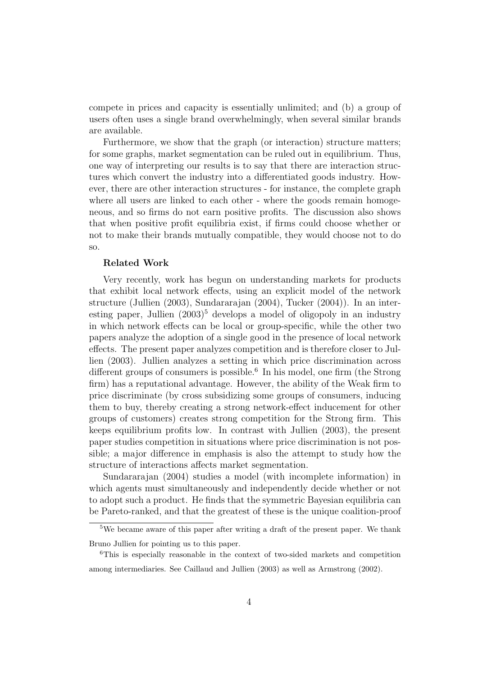compete in prices and capacity is essentially unlimited; and (b) a group of users often uses a single brand overwhelmingly, when several similar brands are available.

Furthermore, we show that the graph (or interaction) structure matters; for some graphs, market segmentation can be ruled out in equilibrium. Thus, one way of interpreting our results is to say that there are interaction structures which convert the industry into a differentiated goods industry. However, there are other interaction structures - for instance, the complete graph where all users are linked to each other - where the goods remain homogeneous, and so firms do not earn positive profits. The discussion also shows that when positive profit equilibria exist, if firms could choose whether or not to make their brands mutually compatible, they would choose not to do so.

#### Related Work

Very recently, work has begun on understanding markets for products that exhibit local network effects, using an explicit model of the network structure (Jullien (2003), Sundararajan (2004), Tucker (2004)). In an interesting paper, Jullien  $(2003)^5$  develops a model of oligopoly in an industry in which network effects can be local or group-specific, while the other two papers analyze the adoption of a single good in the presence of local network effects. The present paper analyzes competition and is therefore closer to Jullien (2003). Jullien analyzes a setting in which price discrimination across different groups of consumers is possible.<sup>6</sup> In his model, one firm (the Strong firm) has a reputational advantage. However, the ability of the Weak firm to price discriminate (by cross subsidizing some groups of consumers, inducing them to buy, thereby creating a strong network-effect inducement for other groups of customers) creates strong competition for the Strong firm. This keeps equilibrium profits low. In contrast with Jullien (2003), the present paper studies competition in situations where price discrimination is not possible; a major difference in emphasis is also the attempt to study how the structure of interactions affects market segmentation.

Sundararajan (2004) studies a model (with incomplete information) in which agents must simultaneously and independently decide whether or not to adopt such a product. He finds that the symmetric Bayesian equilibria can be Pareto-ranked, and that the greatest of these is the unique coalition-proof

<sup>5</sup>We became aware of this paper after writing a draft of the present paper. We thank Bruno Jullien for pointing us to this paper.

<sup>6</sup>This is especially reasonable in the context of two-sided markets and competition among intermediaries. See Caillaud and Jullien (2003) as well as Armstrong (2002).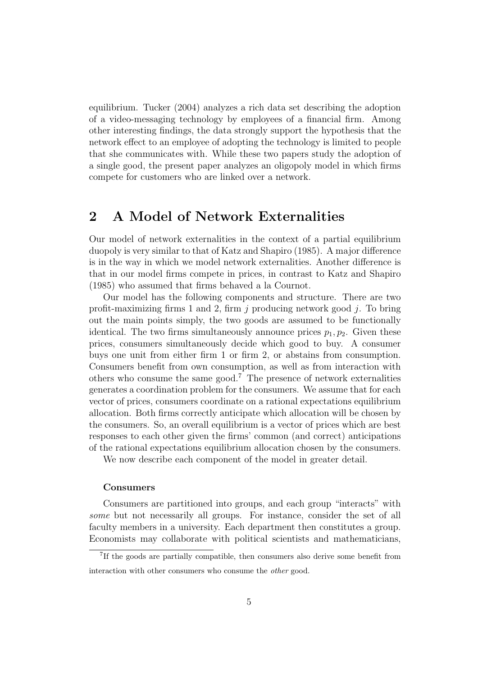equilibrium. Tucker (2004) analyzes a rich data set describing the adoption of a video-messaging technology by employees of a financial firm. Among other interesting findings, the data strongly support the hypothesis that the network effect to an employee of adopting the technology is limited to people that she communicates with. While these two papers study the adoption of a single good, the present paper analyzes an oligopoly model in which firms compete for customers who are linked over a network.

## 2 A Model of Network Externalities

Our model of network externalities in the context of a partial equilibrium duopoly is very similar to that of Katz and Shapiro (1985). A major difference is in the way in which we model network externalities. Another difference is that in our model firms compete in prices, in contrast to Katz and Shapiro (1985) who assumed that firms behaved a la Cournot.

Our model has the following components and structure. There are two profit-maximizing firms 1 and 2, firm  $j$  producing network good  $j$ . To bring out the main points simply, the two goods are assumed to be functionally identical. The two firms simultaneously announce prices  $p_1, p_2$ . Given these prices, consumers simultaneously decide which good to buy. A consumer buys one unit from either firm 1 or firm 2, or abstains from consumption. Consumers benefit from own consumption, as well as from interaction with others who consume the same good.<sup>7</sup> The presence of network externalities generates a coordination problem for the consumers. We assume that for each vector of prices, consumers coordinate on a rational expectations equilibrium allocation. Both firms correctly anticipate which allocation will be chosen by the consumers. So, an overall equilibrium is a vector of prices which are best responses to each other given the firms' common (and correct) anticipations of the rational expectations equilibrium allocation chosen by the consumers.

We now describe each component of the model in greater detail.

#### Consumers

Consumers are partitioned into groups, and each group "interacts" with some but not necessarily all groups. For instance, consider the set of all faculty members in a university. Each department then constitutes a group. Economists may collaborate with political scientists and mathematicians,

<sup>7</sup> If the goods are partially compatible, then consumers also derive some benefit from interaction with other consumers who consume the other good.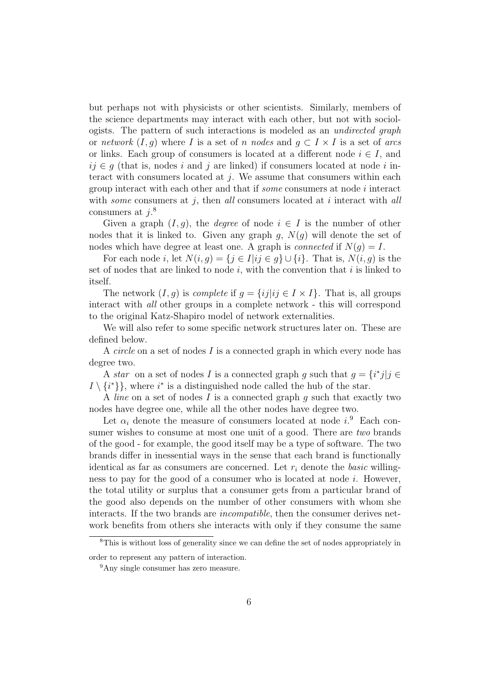but perhaps not with physicists or other scientists. Similarly, members of the science departments may interact with each other, but not with sociologists. The pattern of such interactions is modeled as an undirected graph or network  $(I, g)$  where I is a set of n nodes and  $g \subset I \times I$  is a set of arcs or links. Each group of consumers is located at a different node  $i \in I$ , and  $ij \in q$  (that is, nodes i and j are linked) if consumers located at node i interact with consumers located at  $i$ . We assume that consumers within each group interact with each other and that if some consumers at node i interact with *some* consumers at  $i$ , then all consumers located at  $i$  interact with all consumers at  $j$ <sup>8</sup>

Given a graph  $(I, g)$ , the *degree* of node  $i \in I$  is the number of other nodes that it is linked to. Given any graph g,  $N(g)$  will denote the set of nodes which have degree at least one. A graph is *connected* if  $N(q) = I$ .

For each node i, let  $N(i, g) = \{j \in I | ij \in g\} \cup \{i\}$ . That is,  $N(i, g)$  is the set of nodes that are linked to node i, with the convention that i is linked to itself.

The network  $(I, g)$  is *complete* if  $g = \{ij | ij \in I \times I\}$ . That is, all groups interact with all other groups in a complete network - this will correspond to the original Katz-Shapiro model of network externalities.

We will also refer to some specific network structures later on. These are defined below.

A circle on a set of nodes I is a connected graph in which every node has degree two.

A star on a set of nodes I is a connected graph g such that  $g = \{i^*j | j \in \mathbb{R}\}$  $I \setminus \{i^*\}$ , where  $i^*$  is a distinguished node called the hub of the star.

A *line* on a set of nodes  $I$  is a connected graph  $g$  such that exactly two nodes have degree one, while all the other nodes have degree two.

Let  $\alpha_i$  denote the measure of consumers located at node  $i$ <sup>9</sup>. Each consumer wishes to consume at most one unit of a good. There are *two* brands of the good - for example, the good itself may be a type of software. The two brands differ in inessential ways in the sense that each brand is functionally identical as far as consumers are concerned. Let  $r_i$  denote the *basic* willingness to pay for the good of a consumer who is located at node  $i$ . However, the total utility or surplus that a consumer gets from a particular brand of the good also depends on the number of other consumers with whom she interacts. If the two brands are incompatible, then the consumer derives network benefits from others she interacts with only if they consume the same

<sup>8</sup>This is without loss of generality since we can define the set of nodes appropriately in order to represent any pattern of interaction.

<sup>9</sup>Any single consumer has zero measure.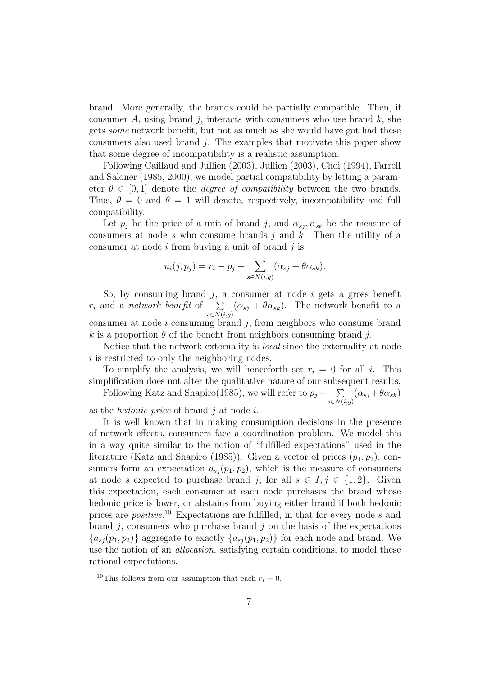brand. More generally, the brands could be partially compatible. Then, if consumer A, using brand j, interacts with consumers who use brand k, she gets some network benefit, but not as much as she would have got had these consumers also used brand  $j$ . The examples that motivate this paper show that some degree of incompatibility is a realistic assumption.

Following Caillaud and Jullien (2003), Jullien (2003), Choi (1994), Farrell and Saloner (1985, 2000), we model partial compatibility by letting a parameter  $\theta \in [0, 1]$  denote the *degree of compatibility* between the two brands. Thus,  $\theta = 0$  and  $\theta = 1$  will denote, respectively, incompatibility and full compatibility.

Let  $p_i$  be the price of a unit of brand j, and  $\alpha_{sj}$ ,  $\alpha_{sk}$  be the measure of consumers at node  $s$  who consume brands  $j$  and  $k$ . Then the utility of a consumer at node  $i$  from buying a unit of brand  $j$  is

$$
u_i(j, p_j) = r_i - p_j + \sum_{s \in N(i,g)} (\alpha_{sj} + \theta \alpha_{sk}).
$$

So, by consuming brand  $j$ , a consumer at node  $i$  gets a gross benefit  $r_i$  and a network benefit of  $\sum_{s \in N(i,g)} (\alpha_{sj} + \theta \alpha_{sk})$ . The network benefit to a consumer at node  $i$  consuming brand  $j$ , from neighbors who consume brand k is a proportion  $\theta$  of the benefit from neighbors consuming brand j.

Notice that the network externality is local since the externality at node i is restricted to only the neighboring nodes.

To simplify the analysis, we will henceforth set  $r_i = 0$  for all i. This simplification does not alter the qualitative nature of our subsequent results.

Following Katz and Shapiro(1985), we will refer to  $p_j - \sum_{\alpha}$  $\sum_{s \in N(i,g)} (\alpha_{sj} + \theta \alpha_{sk})$ 

as the *hedonic price* of brand  $j$  at node  $i$ .

It is well known that in making consumption decisions in the presence of network effects, consumers face a coordination problem. We model this in a way quite similar to the notion of "fulfilled expectations" used in the literature (Katz and Shapiro (1985)). Given a vector of prices  $(p_1, p_2)$ , consumers form an expectation  $a_{sj}(p_1, p_2)$ , which is the measure of consumers at node s expected to purchase brand j, for all  $s \in I, j \in \{1,2\}$ . Given this expectation, each consumer at each node purchases the brand whose hedonic price is lower, or abstains from buying either brand if both hedonic prices are *positive*.<sup>10</sup> Expectations are fulfilled, in that for every node s and brand  $j$ , consumers who purchase brand  $j$  on the basis of the expectations  ${a_{sj}(p_1, p_2)}$  aggregate to exactly  ${a_{sj}(p_1, p_2)}$  for each node and brand. We use the notion of an allocation, satisfying certain conditions, to model these rational expectations.

<sup>&</sup>lt;sup>10</sup>This follows from our assumption that each  $r_i = 0$ .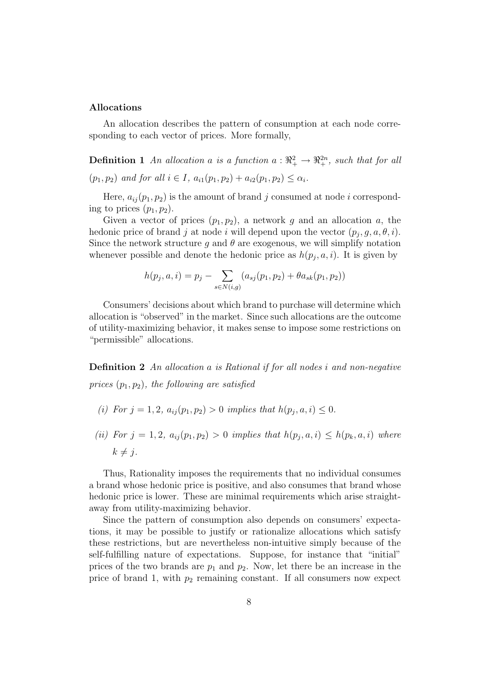#### Allocations

An allocation describes the pattern of consumption at each node corresponding to each vector of prices. More formally,

**Definition 1** An allocation a is a function  $a : \mathbb{R}^2_+ \to \mathbb{R}^{2n}_+$ , such that for all  $(p_1, p_2)$  and for all  $i \in I$ ,  $a_{i1}(p_1, p_2) + a_{i2}(p_1, p_2) \leq \alpha_i$ .

Here,  $a_{ij}(p_1, p_2)$  is the amount of brand j consumed at node i corresponding to prices  $(p_1, p_2)$ .

Given a vector of prices  $(p_1, p_2)$ , a network g and an allocation a, the hedonic price of brand j at node i will depend upon the vector  $(p_j, g, a, \theta, i)$ . Since the network structure g and  $\theta$  are exogenous, we will simplify notation whenever possible and denote the hedonic price as  $h(p_j, a, i)$ . It is given by

$$
h(p_j, a, i) = p_j - \sum_{s \in N(i, g)} (a_{sj}(p_1, p_2) + \theta a_{sk}(p_1, p_2))
$$

Consumers' decisions about which brand to purchase will determine which allocation is "observed" in the market. Since such allocations are the outcome of utility-maximizing behavior, it makes sense to impose some restrictions on "permissible" allocations.

Definition 2 An allocation a is Rational if for all nodes i and non-negative prices  $(p_1, p_2)$ , the following are satisfied

- (i) For  $j = 1, 2, a_{ij}(p_1, p_2) > 0$  implies that  $h(p_j, a, i) \leq 0$ .
- (ii) For  $j = 1, 2, a_{ij}(p_1, p_2) > 0$  implies that  $h(p_j, a, i) \leq h(p_k, a, i)$  where  $k \neq i$ .

Thus, Rationality imposes the requirements that no individual consumes a brand whose hedonic price is positive, and also consumes that brand whose hedonic price is lower. These are minimal requirements which arise straightaway from utility-maximizing behavior.

Since the pattern of consumption also depends on consumers' expectations, it may be possible to justify or rationalize allocations which satisfy these restrictions, but are nevertheless non-intuitive simply because of the self-fulfilling nature of expectations. Suppose, for instance that "initial" prices of the two brands are  $p_1$  and  $p_2$ . Now, let there be an increase in the price of brand 1, with  $p_2$  remaining constant. If all consumers now expect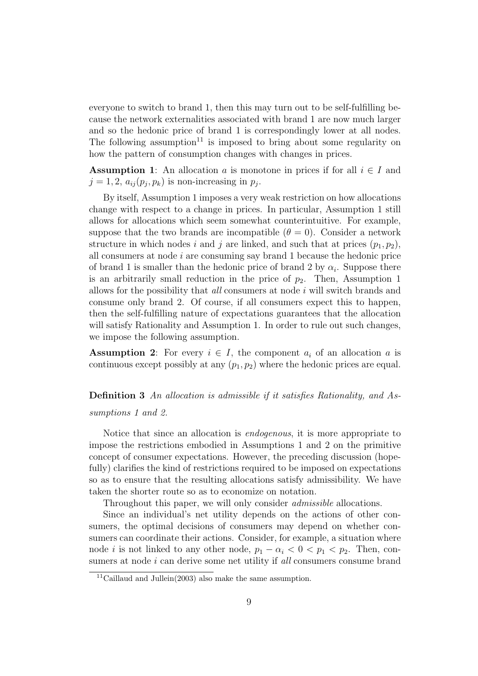everyone to switch to brand 1, then this may turn out to be self-fulfilling because the network externalities associated with brand 1 are now much larger and so the hedonic price of brand 1 is correspondingly lower at all nodes. The following assumption<sup>11</sup> is imposed to bring about some regularity on how the pattern of consumption changes with changes in prices.

**Assumption 1:** An allocation a is monotone in prices if for all  $i \in I$  and  $j = 1, 2, a_{ij}(p_j, p_k)$  is non-increasing in  $p_j$ .

By itself, Assumption 1 imposes a very weak restriction on how allocations change with respect to a change in prices. In particular, Assumption 1 still allows for allocations which seem somewhat counterintuitive. For example, suppose that the two brands are incompatible  $(\theta = 0)$ . Consider a network structure in which nodes i and j are linked, and such that at prices  $(p_1, p_2)$ , all consumers at node  $i$  are consuming say brand 1 because the hedonic price of brand 1 is smaller than the hedonic price of brand 2 by  $\alpha_i$ . Suppose there is an arbitrarily small reduction in the price of  $p_2$ . Then, Assumption 1 allows for the possibility that *all* consumers at node  $i$  will switch brands and consume only brand 2. Of course, if all consumers expect this to happen, then the self-fulfilling nature of expectations guarantees that the allocation will satisfy Rationality and Assumption 1. In order to rule out such changes, we impose the following assumption.

**Assumption 2:** For every  $i \in I$ , the component  $a_i$  of an allocation a is continuous except possibly at any  $(p_1, p_2)$  where the hedonic prices are equal.

Definition 3 An allocation is admissible if it satisfies Rationality, and Assumptions 1 and 2.

Notice that since an allocation is endogenous, it is more appropriate to impose the restrictions embodied in Assumptions 1 and 2 on the primitive concept of consumer expectations. However, the preceding discussion (hopefully) clarifies the kind of restrictions required to be imposed on expectations so as to ensure that the resulting allocations satisfy admissibility. We have taken the shorter route so as to economize on notation.

Throughout this paper, we will only consider *admissible* allocations.

Since an individual's net utility depends on the actions of other consumers, the optimal decisions of consumers may depend on whether consumers can coordinate their actions. Consider, for example, a situation where node *i* is not linked to any other node,  $p_1 - \alpha_i < 0 < p_1 < p_2$ . Then, consumers at node  $i$  can derive some net utility if all consumers consume brand

<sup>&</sup>lt;sup>11</sup>Caillaud and Jullein $(2003)$  also make the same assumption.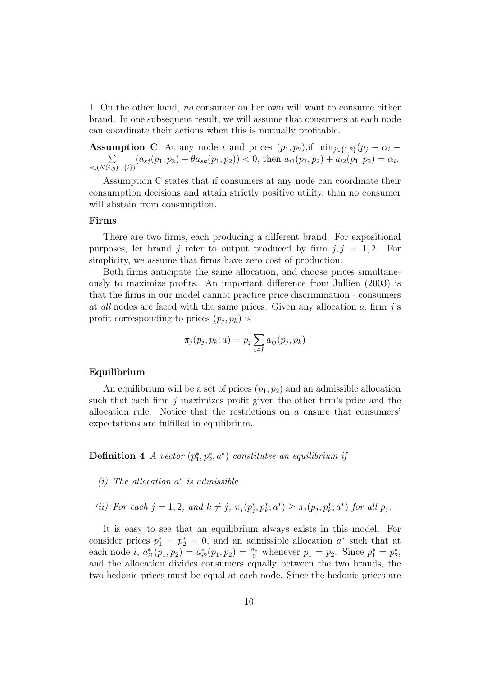1. On the other hand, no consumer on her own will want to consume either brand. In one subsequent result, we will assume that consumers at each node can coordinate their actions when this is mutually profitable.

**Assumption C:** At any node i and prices  $(p_1, p_2)$ , if  $\min_{j \in \{1,2\}} (p_j - \alpha_i \sum$  $\sum_{s \in (N(i,g) - \{i\})} (a_{sj}(p_1, p_2) + \theta a_{sk}(p_1, p_2)) < 0$ , then  $a_{i1}(p_1, p_2) + a_{i2}(p_1, p_2) = \alpha_i$ .

Assumption C states that if consumers at any node can coordinate their consumption decisions and attain strictly positive utility, then no consumer will abstain from consumption.

#### Firms

There are two firms, each producing a different brand. For expositional purposes, let brand j refer to output produced by firm  $j, j = 1, 2$ . For simplicity, we assume that firms have zero cost of production.

Both firms anticipate the same allocation, and choose prices simultaneously to maximize profits. An important difference from Jullien (2003) is that the firms in our model cannot practice price discrimination - consumers at *all* nodes are faced with the same prices. Given any allocation  $a$ , firm  $j$ 's profit corresponding to prices  $(p_j, p_k)$  is

$$
\pi_j(p_j, p_k; a) = p_j \sum_{i \in I} a_{ij}(p_j, p_k)
$$

#### Equilibrium

An equilibrium will be a set of prices  $(p_1, p_2)$  and an admissible allocation such that each firm  $i$  maximizes profit given the other firm's price and the allocation rule. Notice that the restrictions on  $a$  ensure that consumers' expectations are fulfilled in equilibrium.

**Definition 4** A vector  $(p_1^*, p_2^*, a^*)$  constitutes an equilibrium if

- (i) The allocation  $a^*$  is admissible.
- (ii) For each  $j = 1, 2$ , and  $k \neq j$ ,  $\pi_j(p_j^*, p_k^*; a^*) \geq \pi_j(p_j, p_k^*; a^*)$  for all  $p_j$ .

It is easy to see that an equilibrium always exists in this model. For consider prices  $p_1^* = p_2^* = 0$ , and an admissible allocation  $a^*$  such that at each node *i*,  $a_{i1}^*(p_1, p_2) = a_{i2}^*(p_1, p_2) = \frac{\alpha_i}{2}$  whenever  $p_1 = p_2$ . Since  $p_1^* = p_2^*$ , and the allocation divides consumers equally between the two brands, the two hedonic prices must be equal at each node. Since the hedonic prices are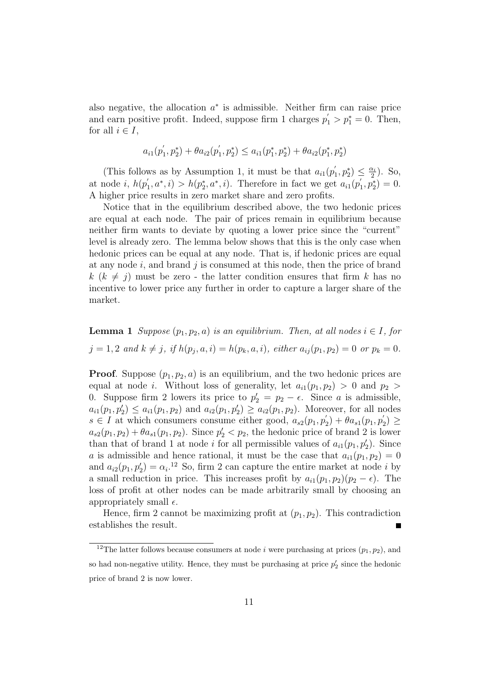also negative, the allocation  $a^*$  is admissible. Neither firm can raise price and earn positive profit. Indeed, suppose firm 1 charges  $p'_1 > p_1^* = 0$ . Then, for all  $i \in I$ ,

$$
a_{i1}(p_1^{'}, p_2^*) + \theta a_{i2}(p_1^{'}, p_2^*) \leq a_{i1}(p_1^*, p_2^*) + \theta a_{i2}(p_1^*, p_2^*)
$$

(This follows as by Assumption 1, it must be that  $a_{i1}(p)$  $p'_1, p_2^* \geq \frac{\alpha_i}{2}$  $\frac{\alpha_i}{2}$ ). So, at node *i*,  $h(p_1)$  $h'_1, a^*, i) > h(p_2^*, a^*, i)$ . Therefore in fact we get  $a_{i1}(p_2^*, a^*, i)$  $p'_1, p_2^* = 0.$ A higher price results in zero market share and zero profits.

Notice that in the equilibrium described above, the two hedonic prices are equal at each node. The pair of prices remain in equilibrium because neither firm wants to deviate by quoting a lower price since the "current" level is already zero. The lemma below shows that this is the only case when hedonic prices can be equal at any node. That is, if hedonic prices are equal at any node i, and brand j is consumed at this node, then the price of brand  $k (k \neq i)$  must be zero - the latter condition ensures that firm k has no incentive to lower price any further in order to capture a larger share of the market.

**Lemma 1** Suppose  $(p_1, p_2, a)$  is an equilibrium. Then, at all nodes  $i \in I$ , for  $j = 1, 2 \text{ and } k \neq j, \text{ if } h(p_j, a, i) = h(p_k, a, i), \text{ either } a_{ij}(p_1, p_2) = 0 \text{ or } p_k = 0.$ 

**Proof.** Suppose  $(p_1, p_2, a)$  is an equilibrium, and the two hedonic prices are equal at node *i*. Without loss of generality, let  $a_{i1}(p_1, p_2) > 0$  and  $p_2 >$ 0. Suppose firm 2 lowers its price to  $p'_2 = p_2 - \epsilon$ . Since a is admissible,  $a_{i1}(p_1, p'_2) \le a_{i1}(p_1, p_2)$  and  $a_{i2}(p_1, p'_2) \ge a_{i2}(p_1, p_2)$ . Moreover, for all nodes  $s \in I$  at which consumers consume either good,  $a_{s2}(p_1, p_2)$  $\theta_{2}^{'}$ ) +  $\theta a_{s1}(p_{1},p_{2}^{'})$  $y'_2$ )  $\geq$  $a_{s2}(p_1, p_2) + \theta a_{s1}(p_1, p_2)$ . Since  $p'_2 < p_2$ , the hedonic price of brand 2 is lower than that of brand 1 at node *i* for all permissible values of  $a_{i1}(p_1, p'_2)$ . Since a is admissible and hence rational, it must be the case that  $a_{i1}(p_1, p_2) = 0$ and  $a_{i2}(p_1, p'_2) = \alpha_i$ <sup>12</sup> So, firm 2 can capture the entire market at node *i* by a small reduction in price. This increases profit by  $a_{i1}(p_1, p_2)(p_2 - \epsilon)$ . The loss of profit at other nodes can be made arbitrarily small by choosing an appropriately small  $\epsilon$ .

Hence, firm 2 cannot be maximizing profit at  $(p_1, p_2)$ . This contradiction establishes the result.

<sup>&</sup>lt;sup>12</sup>The latter follows because consumers at node *i* were purchasing at prices  $(p_1, p_2)$ , and so had non-negative utility. Hence, they must be purchasing at price  $p'_2$  since the hedonic price of brand 2 is now lower.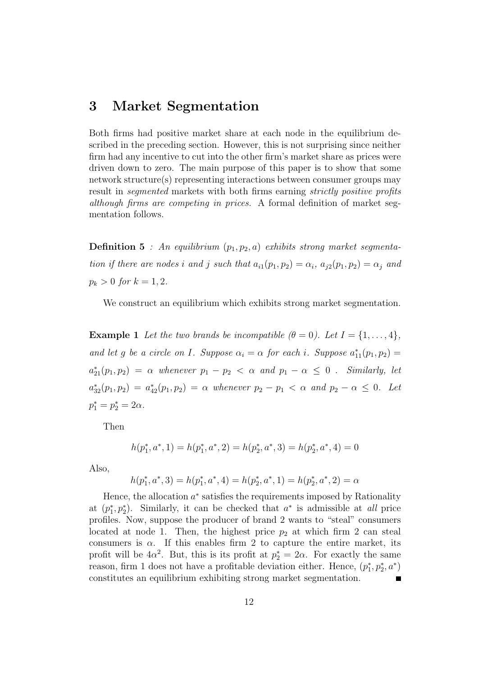# 3 Market Segmentation

Both firms had positive market share at each node in the equilibrium described in the preceding section. However, this is not surprising since neither firm had any incentive to cut into the other firm's market share as prices were driven down to zero. The main purpose of this paper is to show that some network structure(s) representing interactions between consumer groups may result in *seqmented* markets with both firms earning *strictly positive profits* although firms are competing in prices. A formal definition of market segmentation follows.

**Definition 5** : An equilibrium  $(p_1, p_2, a)$  exhibits strong market segmentation if there are nodes i and j such that  $a_{i1}(p_1, p_2) = \alpha_i$ ,  $a_{j2}(p_1, p_2) = \alpha_j$  and  $p_k > 0$  for  $k = 1, 2$ .

We construct an equilibrium which exhibits strong market segmentation.

**Example 1** Let the two brands be incompatible  $(\theta = 0)$ . Let  $I = \{1, ..., 4\}$ , and let g be a circle on I. Suppose  $\alpha_i = \alpha$  for each i. Suppose  $a_{11}^*(p_1, p_2) =$  $a_{21}^*(p_1, p_2) = \alpha$  whenever  $p_1 - p_2 < \alpha$  and  $p_1 - \alpha \leq 0$ . Similarly, let  $a_{32}^*(p_1, p_2) = a_{42}^*(p_1, p_2) = \alpha$  whenever  $p_2 - p_1 < \alpha$  and  $p_2 - \alpha \leq 0$ . Let  $p_1^* = p_2^* = 2\alpha.$ 

Then

$$
h(p_1^*,a^*,1) = h(p_1^*,a^*,2) = h(p_2^*,a^*,3) = h(p_2^*,a^*,4) = 0
$$

Also,

$$
h(p_1^*, a^*, 3) = h(p_1^*, a^*, 4) = h(p_2^*, a^*, 1) = h(p_2^*, a^*, 2) = \alpha
$$

Hence, the allocation  $a^*$  satisfies the requirements imposed by Rationality at  $(p_1^*, p_2^*)$ . Similarly, it can be checked that  $a^*$  is admissible at all price profiles. Now, suppose the producer of brand 2 wants to "steal" consumers located at node 1. Then, the highest price  $p_2$  at which firm 2 can steal consumers is  $\alpha$ . If this enables firm 2 to capture the entire market, its profit will be  $4\alpha^2$ . But, this is its profit at  $p_2^* = 2\alpha$ . For exactly the same reason, firm 1 does not have a profitable deviation either. Hence,  $(p_1^*, p_2^*, a^*)$ constitutes an equilibrium exhibiting strong market segmentation.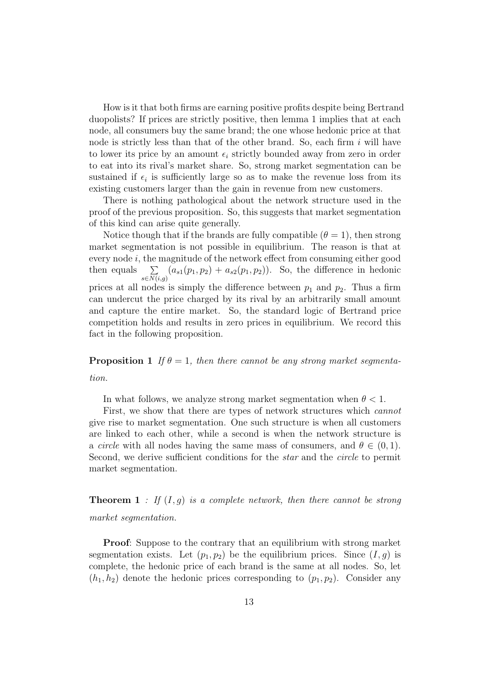How is it that both firms are earning positive profits despite being Bertrand duopolists? If prices are strictly positive, then lemma 1 implies that at each node, all consumers buy the same brand; the one whose hedonic price at that node is strictly less than that of the other brand. So, each firm  $i$  will have to lower its price by an amount  $\epsilon_i$  strictly bounded away from zero in order to eat into its rival's market share. So, strong market segmentation can be sustained if  $\epsilon_i$  is sufficiently large so as to make the revenue loss from its existing customers larger than the gain in revenue from new customers.

There is nothing pathological about the network structure used in the proof of the previous proposition. So, this suggests that market segmentation of this kind can arise quite generally.

Notice though that if the brands are fully compatible  $(\theta = 1)$ , then strong market segmentation is not possible in equilibrium. The reason is that at every node  $i$ , the magnitude of the network effect from consuming either good then equals  $\sum_{s \in N(i,g)} (a_{s1}(p_1, p_2) + a_{s2}(p_1, p_2)).$  So, the difference in hedonic prices at all nodes is simply the difference between  $p_1$  and  $p_2$ . Thus a firm can undercut the price charged by its rival by an arbitrarily small amount and capture the entire market. So, the standard logic of Bertrand price competition holds and results in zero prices in equilibrium. We record this fact in the following proposition.

**Proposition 1** If  $\theta = 1$ , then there cannot be any strong market segmentation.

In what follows, we analyze strong market segmentation when  $\theta < 1$ .

First, we show that there are types of network structures which cannot give rise to market segmentation. One such structure is when all customers are linked to each other, while a second is when the network structure is a *circle* with all nodes having the same mass of consumers, and  $\theta \in (0, 1)$ . Second, we derive sufficient conditions for the star and the circle to permit market segmentation.

**Theorem 1** : If  $(I, g)$  is a complete network, then there cannot be strong market segmentation.

Proof: Suppose to the contrary that an equilibrium with strong market segmentation exists. Let  $(p_1, p_2)$  be the equilibrium prices. Since  $(I, g)$  is complete, the hedonic price of each brand is the same at all nodes. So, let  $(h_1, h_2)$  denote the hedonic prices corresponding to  $(p_1, p_2)$ . Consider any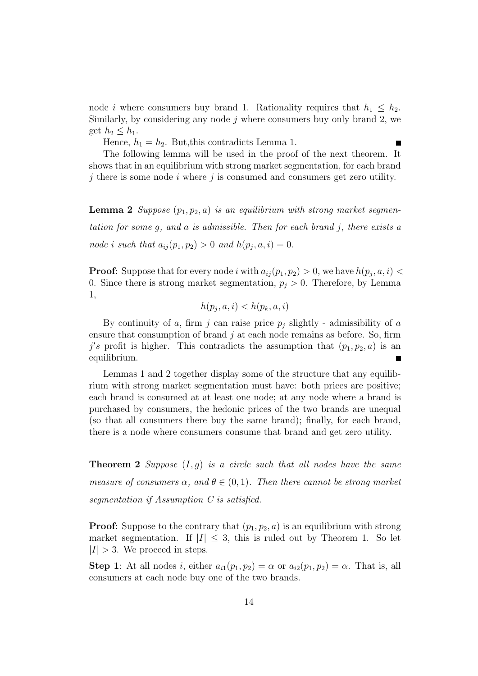node *i* where consumers buy brand 1. Rationality requires that  $h_1 \leq h_2$ . Similarly, by considering any node  $j$  where consumers buy only brand 2, we get  $h_2 \leq h_1$ .

 $\blacksquare$ 

Hence,  $h_1 = h_2$ . But, this contradicts Lemma 1.

The following lemma will be used in the proof of the next theorem. It shows that in an equilibrium with strong market segmentation, for each brand  $j$  there is some node i where j is consumed and consumers get zero utility.

**Lemma 2** Suppose  $(p_1, p_2, a)$  is an equilibrium with strong market segmentation for some  $q$ , and  $a$  is admissible. Then for each brand  $j$ , there exists  $a$ node *i* such that  $a_{ij}(p_1, p_2) > 0$  and  $h(p_j, a, i) = 0$ .

**Proof:** Suppose that for every node i with  $a_{ij}(p_1, p_2) > 0$ , we have  $h(p_j, a, i) <$ 0. Since there is strong market segmentation,  $p_j > 0$ . Therefore, by Lemma 1,

$$
h(p_j, a, i) < h(p_k, a, i)
$$

By continuity of a, firm j can raise price  $p_j$  slightly - admissibility of a ensure that consumption of brand  $j$  at each node remains as before. So, firm j's profit is higher. This contradicts the assumption that  $(p_1, p_2, a)$  is an equilibrium.

Lemmas 1 and 2 together display some of the structure that any equilibrium with strong market segmentation must have: both prices are positive; each brand is consumed at at least one node; at any node where a brand is purchased by consumers, the hedonic prices of the two brands are unequal (so that all consumers there buy the same brand); finally, for each brand, there is a node where consumers consume that brand and get zero utility.

**Theorem 2** Suppose  $(I, g)$  is a circle such that all nodes have the same measure of consumers  $\alpha$ , and  $\theta \in (0,1)$ . Then there cannot be strong market segmentation if Assumption C is satisfied.

**Proof:** Suppose to the contrary that  $(p_1, p_2, a)$  is an equilibrium with strong market segmentation. If  $|I| \leq 3$ , this is ruled out by Theorem 1. So let  $|I| > 3$ . We proceed in steps.

Step 1: At all nodes i, either  $a_{i1}(p_1, p_2) = \alpha$  or  $a_{i2}(p_1, p_2) = \alpha$ . That is, all consumers at each node buy one of the two brands.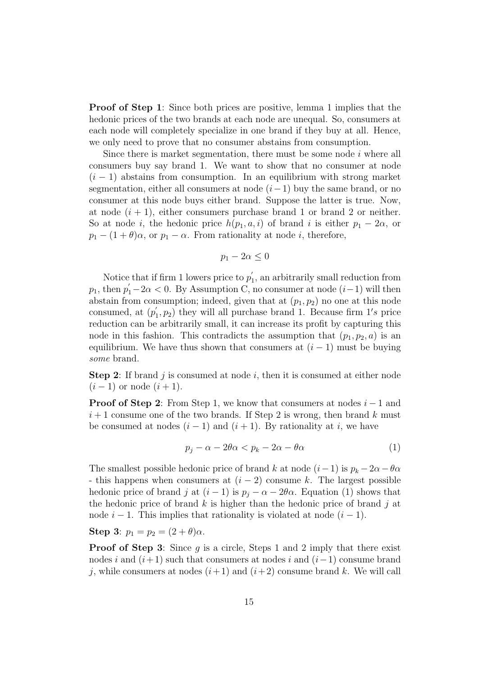Proof of Step 1: Since both prices are positive, lemma 1 implies that the hedonic prices of the two brands at each node are unequal. So, consumers at each node will completely specialize in one brand if they buy at all. Hence, we only need to prove that no consumer abstains from consumption.

Since there is market segmentation, there must be some node  $i$  where all consumers buy say brand 1. We want to show that no consumer at node  $(i-1)$  abstains from consumption. In an equilibrium with strong market segmentation, either all consumers at node  $(i-1)$  buy the same brand, or no consumer at this node buys either brand. Suppose the latter is true. Now, at node  $(i + 1)$ , either consumers purchase brand 1 or brand 2 or neither. So at node i, the hedonic price  $h(p_1, a, i)$  of brand i is either  $p_1 - 2\alpha$ , or  $p_1 - (1 + \theta)\alpha$ , or  $p_1 - \alpha$ . From rationality at node *i*, therefore,

$$
p_1 - 2\alpha \le 0
$$

Notice that if firm 1 lowers price to  $p'$  $\eta_1$ , an arbitrarily small reduction from  $p_1$ , then  $p'_1 - 2\alpha < 0$ . By Assumption C, no consumer at node  $(i-1)$  will then abstain from consumption; indeed, given that at  $(p_1, p_2)$  no one at this node consumed, at  $(p_1)$  $(1, p_2)$  they will all purchase brand 1. Because firm  $1's$  price reduction can be arbitrarily small, it can increase its profit by capturing this node in this fashion. This contradicts the assumption that  $(p_1, p_2, a)$  is an equilibrium. We have thus shown that consumers at  $(i - 1)$  must be buying some brand.

**Step 2:** If brand j is consumed at node i, then it is consumed at either node  $(i - 1)$  or node  $(i + 1)$ .

**Proof of Step 2:** From Step 1, we know that consumers at nodes  $i-1$  and  $i+1$  consume one of the two brands. If Step 2 is wrong, then brand k must be consumed at nodes  $(i - 1)$  and  $(i + 1)$ . By rationality at i, we have

$$
p_j - \alpha - 2\theta\alpha < p_k - 2\alpha - \theta\alpha \tag{1}
$$

The smallest possible hedonic price of brand k at node  $(i-1)$  is  $p_k - 2\alpha - \theta \alpha$ - this happens when consumers at  $(i - 2)$  consume k. The largest possible hedonic price of brand j at  $(i - 1)$  is  $p_i - \alpha - 2\theta\alpha$ . Equation (1) shows that the hedonic price of brand k is higher than the hedonic price of brand j at node  $i - 1$ . This implies that rationality is violated at node  $(i - 1)$ .

Step 3:  $p_1 = p_2 = (2 + \theta)\alpha$ .

**Proof of Step 3:** Since  $q$  is a circle, Steps 1 and 2 imply that there exist nodes i and  $(i+1)$  such that consumers at nodes i and  $(i-1)$  consume brand j, while consumers at nodes  $(i+1)$  and  $(i+2)$  consume brand k. We will call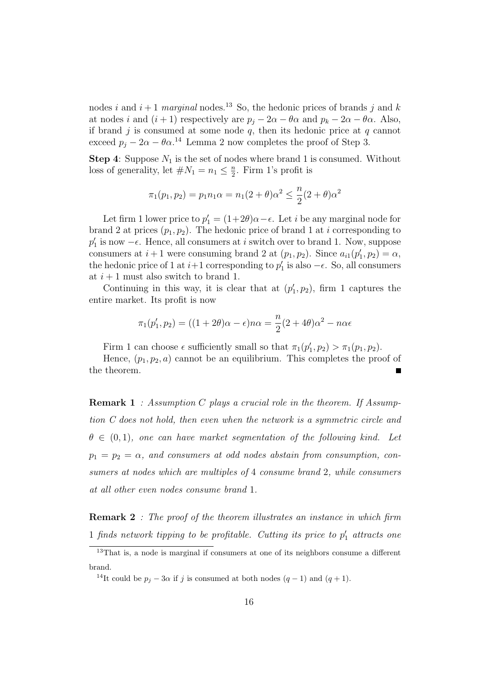nodes i and  $i + 1$  marginal nodes.<sup>13</sup> So, the hedonic prices of brands j and k at nodes i and  $(i + 1)$  respectively are  $p_i - 2\alpha - \theta \alpha$  and  $p_k - 2\alpha - \theta \alpha$ . Also, if brand j is consumed at some node  $q$ , then its hedonic price at  $q$  cannot exceed  $p_j - 2\alpha - \theta \alpha$ <sup>14</sup> Lemma 2 now completes the proof of Step 3.

**Step 4:** Suppose  $N_1$  is the set of nodes where brand 1 is consumed. Without loss of generality, let  $\#N_1 = n_1 \leq \frac{n}{2}$  $\frac{n}{2}$ . Firm 1's profit is

$$
\pi_1(p_1, p_2) = p_1 n_1 \alpha = n_1 (2 + \theta) \alpha^2 \le \frac{n}{2} (2 + \theta) \alpha^2
$$

Let firm 1 lower price to  $p'_1 = (1+2\theta)\alpha - \epsilon$ . Let *i* be any marginal node for brand 2 at prices  $(p_1, p_2)$ . The hedonic price of brand 1 at i corresponding to  $p'_1$  is now  $-\epsilon$ . Hence, all consumers at *i* switch over to brand 1. Now, suppose consumers at  $i+1$  were consuming brand 2 at  $(p_1, p_2)$ . Since  $a_{i1}(p'_1, p_2) = \alpha$ , the hedonic price of 1 at  $i+1$  corresponding to  $p'_1$  is also  $-\epsilon$ . So, all consumers at  $i + 1$  must also switch to brand 1.

Continuing in this way, it is clear that at  $(p'_1, p_2)$ , firm 1 captures the entire market. Its profit is now

$$
\pi_1(p'_1, p_2) = ((1+2\theta)\alpha - \epsilon)n\alpha = \frac{n}{2}(2+4\theta)\alpha^2 - n\alpha\epsilon
$$

Firm 1 can choose  $\epsilon$  sufficiently small so that  $\pi_1(p'_1, p_2) > \pi_1(p_1, p_2)$ .

Hence,  $(p_1, p_2, a)$  cannot be an equilibrium. This completes the proof of the theorem.

**Remark 1** : Assumption C plays a crucial role in the theorem. If Assumption C does not hold, then even when the network is a symmetric circle and  $\theta \in (0,1)$ , one can have market segmentation of the following kind. Let  $p_1 = p_2 = \alpha$ , and consumers at odd nodes abstain from consumption, consumers at nodes which are multiples of 4 consume brand 2, while consumers at all other even nodes consume brand 1.

**Remark 2** : The proof of the theorem illustrates an instance in which firm 1 finds network tipping to be profitable. Cutting its price to  $p'_1$  attracts one

<sup>&</sup>lt;sup>13</sup>That is, a node is marginal if consumers at one of its neighbors consume a different brand.

<sup>&</sup>lt;sup>14</sup>It could be  $p_j - 3\alpha$  if j is consumed at both nodes  $(q - 1)$  and  $(q + 1)$ .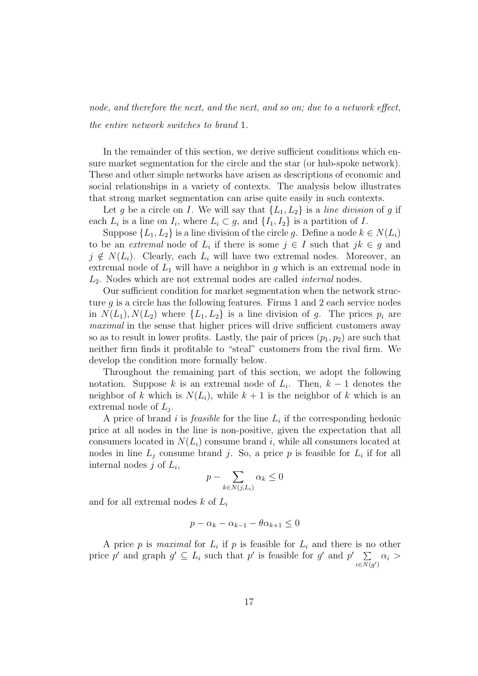node, and therefore the next, and the next, and so on; due to a network effect, the entire network switches to brand 1.

In the remainder of this section, we derive sufficient conditions which ensure market segmentation for the circle and the star (or hub-spoke network). These and other simple networks have arisen as descriptions of economic and social relationships in a variety of contexts. The analysis below illustrates that strong market segmentation can arise quite easily in such contexts.

Let g be a circle on I. We will say that  $\{L_1, L_2\}$  is a line division of g if each  $L_i$  is a line on  $I_i$ , where  $L_i \subset g$ , and  $\{I_1, I_2\}$  is a partition of  $I$ .

Suppose  $\{L_1, L_2\}$  is a line division of the circle g. Define a node  $k \in N(L_i)$ to be an *extremal* node of  $L_i$  if there is some  $j \in I$  such that  $jk \in g$  and  $j \notin N(L_i)$ . Clearly, each  $L_i$  will have two extremal nodes. Moreover, an extremal node of  $L_1$  will have a neighbor in g which is an extremal node in  $L<sub>2</sub>$ . Nodes which are not extremal nodes are called *internal* nodes.

Our sufficient condition for market segmentation when the network structure  $g$  is a circle has the following features. Firms 1 and 2 each service nodes in  $N(L_1), N(L_2)$  where  $\{L_1, L_2\}$  is a line division of q. The prices  $p_i$  are maximal in the sense that higher prices will drive sufficient customers away so as to result in lower profits. Lastly, the pair of prices  $(p_1, p_2)$  are such that neither firm finds it profitable to "steal" customers from the rival firm. We develop the condition more formally below.

Throughout the remaining part of this section, we adopt the following notation. Suppose k is an extremal node of  $L_i$ . Then,  $k-1$  denotes the neighbor of k which is  $N(L_i)$ , while  $k+1$  is the neighbor of k which is an extremal node of  $L_j$ .

A price of brand i is *feasible* for the line  $L_i$  if the corresponding hedonic price at all nodes in the line is non-positive, given the expectation that all consumers located in  $N(L_i)$  consume brand i, while all consumers located at nodes in line  $L_j$  consume brand j. So, a price p is feasible for  $L_i$  if for all internal nodes  $j$  of  $L_i$ ,

$$
p - \sum_{k \in N(j, L_i)} \alpha_k \le 0
$$

and for all extremal nodes  $k$  of  $L_i$ 

$$
p - \alpha_k - \alpha_{k-1} - \theta \alpha_{k+1} \le 0
$$

A price p is maximal for  $L_i$  if p is feasible for  $L_i$  and there is no other price p' and graph  $g' \subseteq L_i$  such that p' is feasible for g' and  $p' \Sigma$  $\sum_{i\in N(g')}\alpha_i >$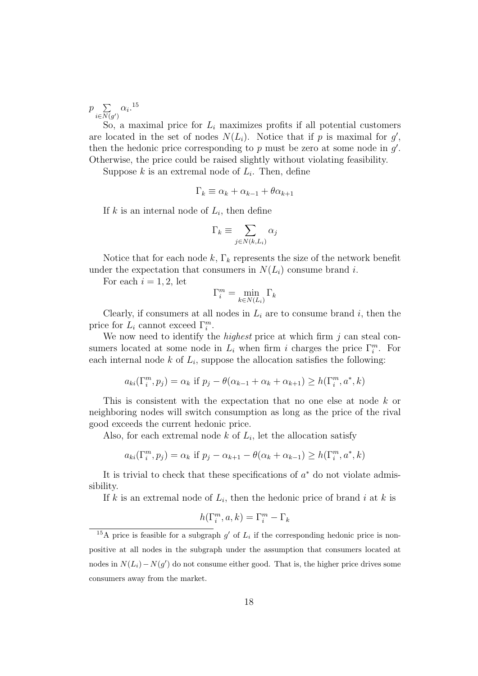$p$   $\sum$  $\sum_{i\in N(g')}\alpha_i$ .<sup>15</sup>

So, a maximal price for  $L_i$  maximizes profits if all potential customers are located in the set of nodes  $N(L_i)$ . Notice that if p is maximal for  $g'$ , then the hedonic price corresponding to  $p$  must be zero at some node in  $g'$ . Otherwise, the price could be raised slightly without violating feasibility.

Suppose  $k$  is an extremal node of  $L_i$ . Then, define

$$
\Gamma_k \equiv \alpha_k + \alpha_{k-1} + \theta \alpha_{k+1}
$$

If  $k$  is an internal node of  $L_i$ , then define

$$
\Gamma_k \equiv \sum_{j \in N(k, L_i)} \alpha_j
$$

Notice that for each node k,  $\Gamma_k$  represents the size of the network benefit under the expectation that consumers in  $N(L_i)$  consume brand i.

For each  $i = 1, 2$ , let

$$
\Gamma_i^m = \min_{k \in N(L_i)} \Gamma_k
$$

Clearly, if consumers at all nodes in  $L_i$  are to consume brand i, then the price for  $L_i$  cannot exceed  $\Gamma_i^m$ .

We now need to identify the *highest* price at which firm  $j$  can steal consumers located at some node in  $L_i$  when firm i charges the price  $\Gamma_i^m$ . For each internal node  $k$  of  $L_i$ , suppose the allocation satisfies the following:

$$
a_{ki}(\Gamma_i^m, p_j) = \alpha_k \text{ if } p_j - \theta(\alpha_{k-1} + \alpha_k + \alpha_{k+1}) \ge h(\Gamma_i^m, a^*, k)
$$

This is consistent with the expectation that no one else at node k or neighboring nodes will switch consumption as long as the price of the rival good exceeds the current hedonic price.

Also, for each extremal node  $k$  of  $L_i$ , let the allocation satisfy

$$
a_{ki}(\Gamma_i^m, p_j) = \alpha_k \text{ if } p_j - \alpha_{k+1} - \theta(\alpha_k + \alpha_{k-1}) \ge h(\Gamma_i^m, a^*, k)
$$

It is trivial to check that these specifications of  $a^*$  do not violate admissibility.

If k is an extremal node of  $L_i$ , then the hedonic price of brand i at k is

$$
h(\Gamma_i^m, a, k) = \Gamma_i^m - \Gamma_k
$$

<sup>&</sup>lt;sup>15</sup>A price is feasible for a subgraph  $g'$  of  $L_i$  if the corresponding hedonic price is nonpositive at all nodes in the subgraph under the assumption that consumers located at nodes in  $N(L_i) - N(g')$  do not consume either good. That is, the higher price drives some consumers away from the market.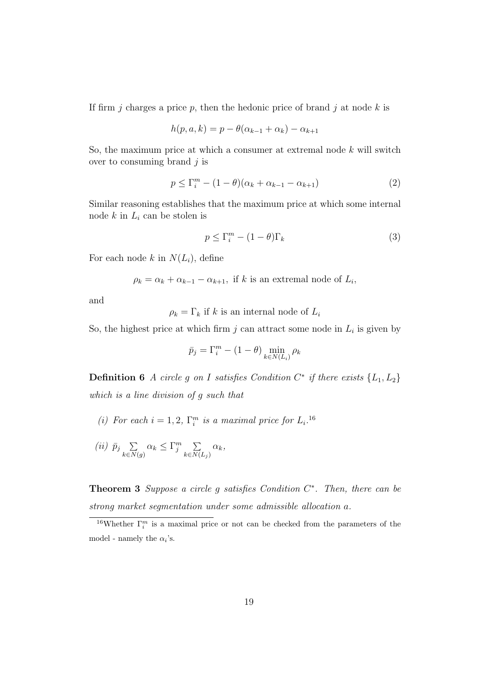If firm j charges a price p, then the hedonic price of brand j at node k is

$$
h(p, a, k) = p - \theta(\alpha_{k-1} + \alpha_k) - \alpha_{k+1}
$$

So, the maximum price at which a consumer at extremal node  $k$  will switch over to consuming brand  $j$  is

$$
p \le \Gamma_i^m - (1 - \theta)(\alpha_k + \alpha_{k-1} - \alpha_{k+1})
$$
\n<sup>(2)</sup>

Similar reasoning establishes that the maximum price at which some internal node  $k$  in  $L_i$  can be stolen is

$$
p \le \Gamma_i^m - (1 - \theta)\Gamma_k \tag{3}
$$

For each node k in  $N(L_i)$ , define

$$
\rho_k = \alpha_k + \alpha_{k-1} - \alpha_{k+1}
$$
, if k is an extremal node of  $L_i$ ,

and

 $\rho_k = \Gamma_k$  if k is an internal node of  $L_i$ 

So, the highest price at which firm  $j$  can attract some node in  $L_i$  is given by

$$
\bar{p}_j = \Gamma_i^m - (1 - \theta) \min_{k \in N(L_i)} \rho_k
$$

**Definition 6** A circle g on I satisfies Condition  $C^*$  if there exists  $\{L_1, L_2\}$ which is a line division of g such that

- (i) For each  $i = 1, 2, \Gamma_i^m$  is a maximal price for  $L_i$ .<sup>16</sup>
- (*ii*)  $\bar{p}_j$   $\Sigma$  $\sum_{k\in N(g)} \alpha_k \leq \Gamma_j^m \sum_{k\in N(s)}$  $k \in N(L_j)$  $\alpha_k,$

**Theorem 3** Suppose a circle g satisfies Condition  $C^*$ . Then, there can be strong market segmentation under some admissible allocation a.

<sup>&</sup>lt;sup>16</sup>Whether  $\Gamma_i^m$  is a maximal price or not can be checked from the parameters of the model - namely the  $\alpha_i$ 's.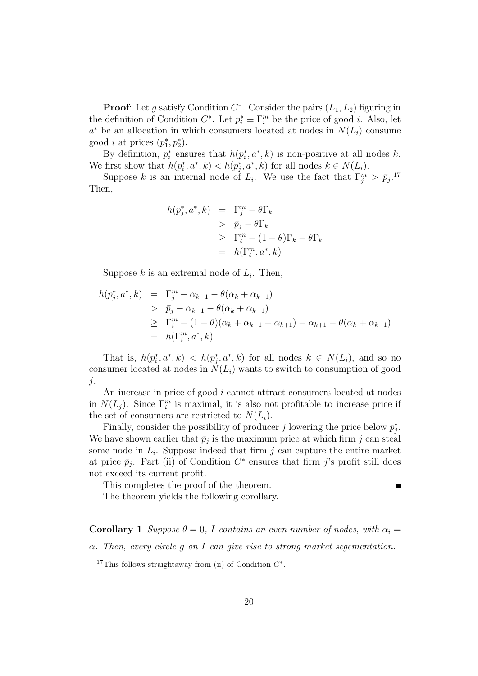**Proof:** Let g satisfy Condition  $C^*$ . Consider the pairs  $(L_1, L_2)$  figuring in the definition of Condition  $C^*$ . Let  $p_i^* \equiv \Gamma_i^m$  be the price of good *i*. Also, let  $a^*$  be an allocation in which consumers located at nodes in  $N(L_i)$  consume good *i* at prices  $(p_1^*, p_2^*)$ .

By definition,  $p_i^*$  ensures that  $h(p_i^*, a^*, k)$  is non-positive at all nodes k. We first show that  $h(p_i^*, a^*, k) < h(p_j^*, a^*, k)$  for all nodes  $k \in N(L_i)$ .

Suppose k is an internal node of  $L_i$ . We use the fact that  $\Gamma_j^m > \bar{p}_j$ .<sup>17</sup> Then,

$$
h(p_j^*, a^*, k) = \Gamma_j^m - \theta \Gamma_k
$$
  
>  $\bar{p}_j - \theta \Gamma_k$   
 $\geq \Gamma_i^m - (1 - \theta) \Gamma_k - \theta \Gamma_k$   
 $= h(\Gamma_i^m, a^*, k)$ 

Suppose  $k$  is an extremal node of  $L_i$ . Then,

$$
h(p_j^*, a^*, k) = \Gamma_j^m - \alpha_{k+1} - \theta(\alpha_k + \alpha_{k-1})
$$
  
>  $\bar{p}_j - \alpha_{k+1} - \theta(\alpha_k + \alpha_{k-1})$   
>  $\Gamma_i^m - (1 - \theta)(\alpha_k + \alpha_{k-1} - \alpha_{k+1}) - \alpha_{k+1} - \theta(\alpha_k + \alpha_{k-1})$   
=  $h(\Gamma_i^m, a^*, k)$ 

That is,  $h(p_i^*, a^*, k) < h(p_j^*, a^*, k)$  for all nodes  $k \in N(L_i)$ , and so no consumer located at nodes in  $N(L_i)$  wants to switch to consumption of good  $j$ .

An increase in price of good i cannot attract consumers located at nodes in  $N(L_j)$ . Since  $\Gamma_i^m$  is maximal, it is also not profitable to increase price if the set of consumers are restricted to  $N(L_i)$ .

Finally, consider the possibility of producer j lowering the price below  $p_j^*$ . We have shown earlier that  $\bar{p}_j$  is the maximum price at which firm j can steal some node in  $L_i$ . Suppose indeed that firm  $j$  can capture the entire market at price  $\bar{p}_j$ . Part (ii) of Condition  $C^*$  ensures that firm j's profit still does not exceed its current profit.

This completes the proof of the theorem.

 $\blacksquare$ 

The theorem yields the following corollary.

**Corollary 1** Suppose  $\theta = 0$ , I contains an even number of nodes, with  $\alpha_i =$  $\alpha$ . Then, every circle q on I can give rise to strong market segementation.

<sup>&</sup>lt;sup>17</sup>This follows straightaway from (ii) of Condition  $C^*$ .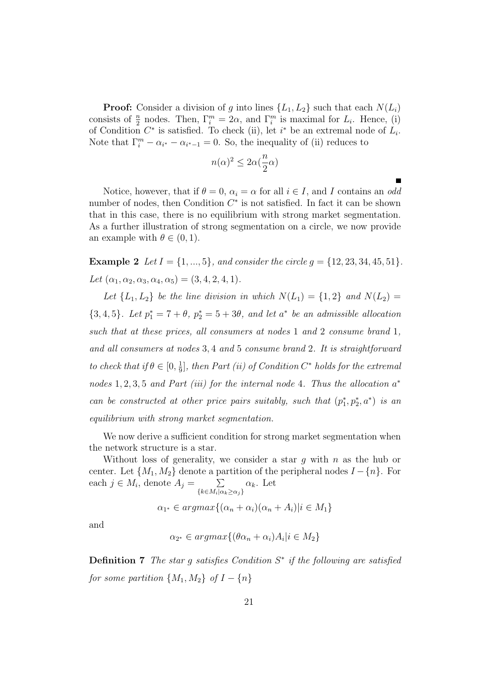**Proof:** Consider a division of g into lines  $\{L_1, L_2\}$  such that each  $N(L_i)$ consists of  $\frac{n}{2}$  nodes. Then,  $\Gamma_i^m = 2\alpha$ , and  $\Gamma_i^m$  is maximal for  $L_i$ . Hence, (i) of Condition  $C^*$  is satisfied. To check (ii), let  $i^*$  be an extremal node of  $L_i$ . Note that  $\Gamma_i^m - \alpha_{i^*} - \alpha_{i^*-1} = 0$ . So, the inequality of (ii) reduces to

$$
n(\alpha)^2 \leq 2\alpha(\frac{n}{2}\alpha)
$$

 $\blacksquare$ 

Notice, however, that if  $\theta = 0$ ,  $\alpha_i = \alpha$  for all  $i \in I$ , and I contains an odd number of nodes, then Condition  $C^*$  is not satisfied. In fact it can be shown that in this case, there is no equilibrium with strong market segmentation. As a further illustration of strong segmentation on a circle, we now provide an example with  $\theta \in (0, 1)$ .

**Example 2** Let  $I = \{1, ..., 5\}$ , and consider the circle  $g = \{12, 23, 34, 45, 51\}$ . Let  $(\alpha_1, \alpha_2, \alpha_3, \alpha_4, \alpha_5) = (3, 4, 2, 4, 1).$ 

Let  $\{L_1, L_2\}$  be the line division in which  $N(L_1) = \{1, 2\}$  and  $N(L_2) =$  $\{3, 4, 5\}$ . Let  $p_1^* = 7 + \theta$ ,  $p_2^* = 5 + 3\theta$ , and let  $a^*$  be an admissible allocation such that at these prices, all consumers at nodes 1 and 2 consume brand 1, and all consumers at nodes 3, 4 and 5 consume brand 2. It is straightforward to check that if  $\theta \in [0, \frac{1}{9}]$  $\frac{1}{9}$ , then Part (ii) of Condition C\* holds for the extremal nodes  $1, 2, 3, 5$  and Part (iii) for the internal node 4. Thus the allocation  $a^*$ can be constructed at other price pairs suitably, such that  $(p_1^*, p_2^*, a^*)$  is an equilibrium with strong market segmentation.

We now derive a sufficient condition for strong market segmentation when the network structure is a star.

Without loss of generality, we consider a star  $g$  with  $n$  as the hub or center. Let  $\{M_1, M_2\}$  denote a partition of the peripheral nodes  $I - \{n\}$ . For each  $j \in M_i$ , denote  $A_j = \sum_{j=1}^{n} A_j$  $\{k \in M_i | \alpha_k \geq \alpha_j\}$  $\alpha_k$ . Let

 $\alpha_{1^*} \in \operatorname{argmax}\{(\alpha_n + \alpha_i)(\alpha_n + A_i)|i \in M_1\}$ 

and

$$
\alpha_{2^*} \in argmax\{(\theta \alpha_n + \alpha_i)A_i | i \in M_2\}
$$

**Definition 7** The star g satisfies Condition  $S^*$  if the following are satisfied for some partition  $\{M_1, M_2\}$  of  $I - \{n\}$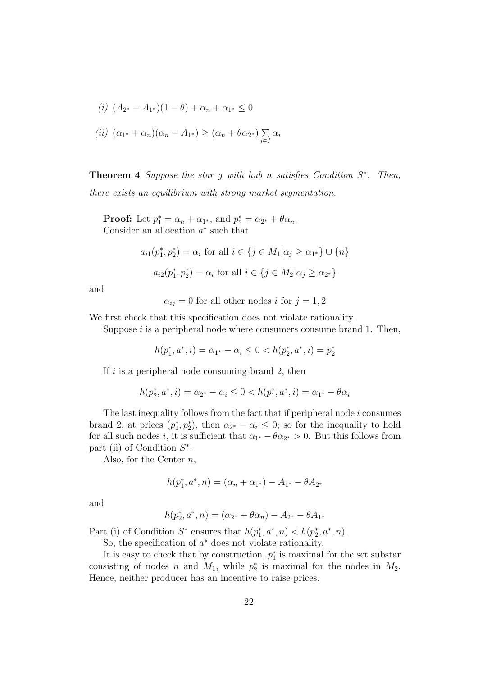$$
(i) (A_{2^*} - A_{1^*})(1 - \theta) + \alpha_n + \alpha_{1^*} \le 0
$$
  

$$
(ii) (\alpha_{1^*} + \alpha_n)(\alpha_n + A_{1^*}) \ge (\alpha_n + \theta \alpha_{2^*}) \sum_{i \in I} \alpha_i
$$

**Theorem 4** Suppose the star g with hub n satisfies Condition  $S^*$ . Then, there exists an equilibrium with strong market segmentation.

**Proof:** Let  $p_1^* = \alpha_n + \alpha_{1^*}$ , and  $p_2^* = \alpha_{2^*} + \theta \alpha_n$ . Consider an allocation  $a^*$  such that

$$
a_{i1}(p_1^*, p_2^*) = \alpha_i \text{ for all } i \in \{j \in M_1 | \alpha_j \ge \alpha_{1^*}\} \cup \{n\}
$$

$$
a_{i2}(p_1^*, p_2^*) = \alpha_i \text{ for all } i \in \{j \in M_2 | \alpha_j \ge \alpha_{2^*}\}
$$

and

 $\alpha_{ij} = 0$  for all other nodes i for  $j = 1, 2$ 

We first check that this specification does not violate rationality.

Suppose  $i$  is a peripheral node where consumers consume brand 1. Then,

$$
h(p_1^*, a^*, i) = \alpha_{1^*} - \alpha_i \le 0 < h(p_2^*, a^*, i) = p_2^*
$$

If  $i$  is a peripheral node consuming brand 2, then

$$
h(p_2^*, a^*, i) = \alpha_{2^*} - \alpha_i \le 0 < h(p_1^*, a^*, i) = \alpha_{1^*} - \theta \alpha_i
$$

The last inequality follows from the fact that if peripheral node  $i$  consumes brand 2, at prices  $(p_1^*, p_2^*)$ , then  $\alpha_{2^*} - \alpha_i \leq 0$ ; so for the inequality to hold for all such nodes *i*, it is sufficient that  $\alpha_{1}$  +  $-\theta \alpha_{2}$  > 0. But this follows from part (ii) of Condition  $S^*$ .

Also, for the Center  $n$ ,

$$
h(p_1^*, a^*, n) = (\alpha_n + \alpha_{1^*}) - A_{1^*} - \theta A_{2^*}
$$

and

$$
h(p_2^*, a^*, n) = (\alpha_{2^*} + \theta \alpha_n) - A_{2^*} - \theta A_{1^*}
$$

Part (i) of Condition  $S^*$  ensures that  $h(p_1^*, a^*, n) < h(p_2^*, a^*, n)$ .

So, the specification of  $a^*$  does not violate rationality.

It is easy to check that by construction,  $p_1^*$  is maximal for the set substar consisting of nodes n and  $M_1$ , while  $p_2^*$  is maximal for the nodes in  $M_2$ . Hence, neither producer has an incentive to raise prices.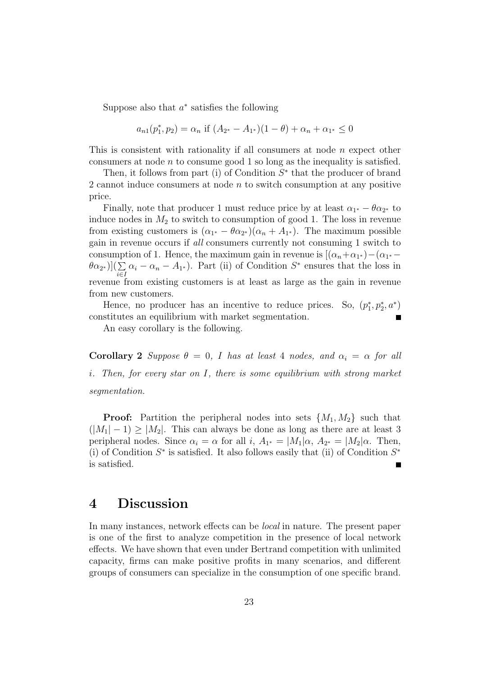Suppose also that  $a^*$  satisfies the following

$$
a_{n1}(p_1^*, p_2) = \alpha_n \text{ if } (A_{2^*} - A_{1^*})(1 - \theta) + \alpha_n + \alpha_{1^*} \le 0
$$

This is consistent with rationality if all consumers at node  $n$  expect other consumers at node  $n$  to consume good 1 so long as the inequality is satisfied.

Then, it follows from part (i) of Condition  $S^*$  that the producer of brand 2 cannot induce consumers at node  $n$  to switch consumption at any positive price.

Finally, note that producer 1 must reduce price by at least  $\alpha_{1^*} - \theta \alpha_{2^*}$  to induce nodes in  $M_2$  to switch to consumption of good 1. The loss in revenue from existing customers is  $(\alpha_{1^*} - \theta \alpha_{2^*})(\alpha_n + A_{1^*})$ . The maximum possible gain in revenue occurs if all consumers currently not consuming 1 switch to consumption of 1. Hence, the maximum gain in revenue is  $[(\alpha_n + \alpha_{1^*}) - (\alpha_{1^*} (\theta\alpha_{2^*})](\sum$  $\sum_{i\in I} \alpha_i - \alpha_n - A_{1^*}$ ). Part (ii) of Condition  $S^*$  ensures that the loss in revenue from existing customers is at least as large as the gain in revenue from new customers.

Hence, no producer has an incentive to reduce prices. So,  $(p_1^*, p_2^*, a^*)$ constitutes an equilibrium with market segmentation.

An easy corollary is the following.

Corollary 2 Suppose  $\theta = 0$ , I has at least 4 nodes, and  $\alpha_i = \alpha$  for all i. Then, for every star on I, there is some equilibrium with strong market segmentation.

**Proof:** Partition the peripheral nodes into sets  $\{M_1, M_2\}$  such that  $(|M_1| - 1) \ge |M_2|$ . This can always be done as long as there are at least 3 peripheral nodes. Since  $\alpha_i = \alpha$  for all  $i, A_{1^*} = |M_1|\alpha, A_{2^*} = |M_2|\alpha$ . Then, (i) of Condition  $S^*$  is satisfied. It also follows easily that (ii) of Condition  $S^*$ is satisfied.

### 4 Discussion

In many instances, network effects can be local in nature. The present paper is one of the first to analyze competition in the presence of local network effects. We have shown that even under Bertrand competition with unlimited capacity, firms can make positive profits in many scenarios, and different groups of consumers can specialize in the consumption of one specific brand.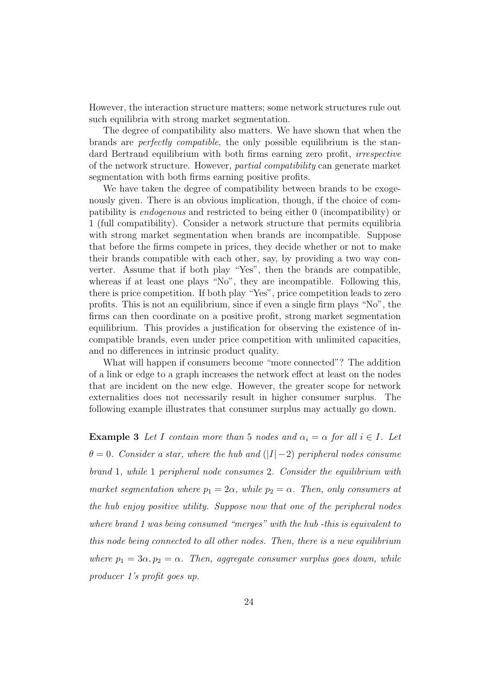However, the interaction structure matters; some network structures rule out such equilibria with strong market segmentation.

The degree of compatibility also matters. We have shown that when the brands are perfectly compatible, the only possible equilibrium is the standard Bertrand equilibrium with both firms earning zero profit, *irrespective* of the network structure. However, partial compatibility can generate market segmentation with both firms earning positive profits.

We have taken the degree of compatibility between brands to be exogenously given. There is an obvious implication, though, if the choice of compatibility is endogenous and restricted to being either 0 (incompatibility) or 1 (full compatibility). Consider a network structure that permits equilibria with strong market segmentation when brands are incompatible. Suppose that before the firms compete in prices, they decide whether or not to make their brands compatible with each other, say, by providing a two way converter. Assume that if both play "Yes", then the brands are compatible, whereas if at least one plays "No", they are incompatible. Following this, there is price competition. If both play "Yes", price competition leads to zero profits. This is not an equilibrium, since if even a single firm plays "No", the firms can then coordinate on a positive profit, strong market segmentation equilibrium. This provides a justification for observing the existence of incompatible brands, even under price competition with unlimited capacities, and no differences in intrinsic product quality.

What will happen if consumers become "more connected"? The addition of a link or edge to a graph increases the network effect at least on the nodes that are incident on the new edge. However, the greater scope for network externalities does not necessarily result in higher consumer surplus. The following example illustrates that consumer surplus may actually go down.

**Example 3** Let I contain more than 5 nodes and  $\alpha_i = \alpha$  for all  $i \in I$ . Let  $\theta = 0$ . Consider a star, where the hub and (|I|−2) peripheral nodes consume brand 1, while 1 peripheral node consumes 2. Consider the equilibrium with market segmentation where  $p_1 = 2\alpha$ , while  $p_2 = \alpha$ . Then, only consumers at the hub enjoy positive utility. Suppose now that one of the peripheral nodes where brand 1 was being consumed "merges" with the hub -this is equivalent to this node being connected to all other nodes. Then, there is a new equilibrium where  $p_1 = 3\alpha, p_2 = \alpha$ . Then, aggregate consumer surplus goes down, while producer 1's profit goes up.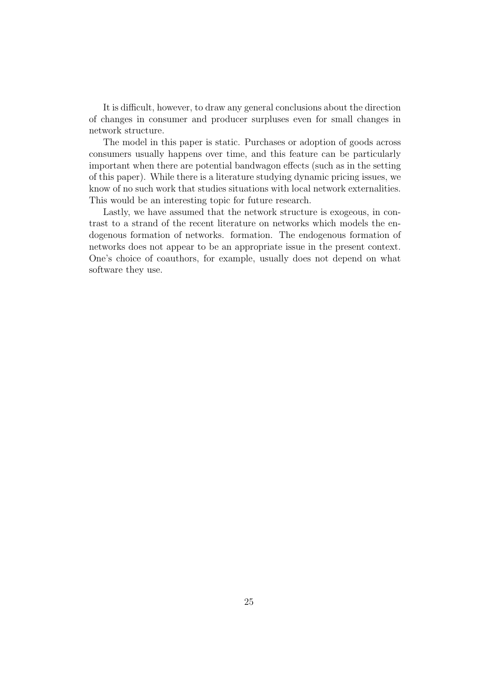It is difficult, however, to draw any general conclusions about the direction of changes in consumer and producer surpluses even for small changes in network structure.

The model in this paper is static. Purchases or adoption of goods across consumers usually happens over time, and this feature can be particularly important when there are potential bandwagon effects (such as in the setting of this paper). While there is a literature studying dynamic pricing issues, we know of no such work that studies situations with local network externalities. This would be an interesting topic for future research.

Lastly, we have assumed that the network structure is exogeous, in contrast to a strand of the recent literature on networks which models the endogenous formation of networks. formation. The endogenous formation of networks does not appear to be an appropriate issue in the present context. One's choice of coauthors, for example, usually does not depend on what software they use.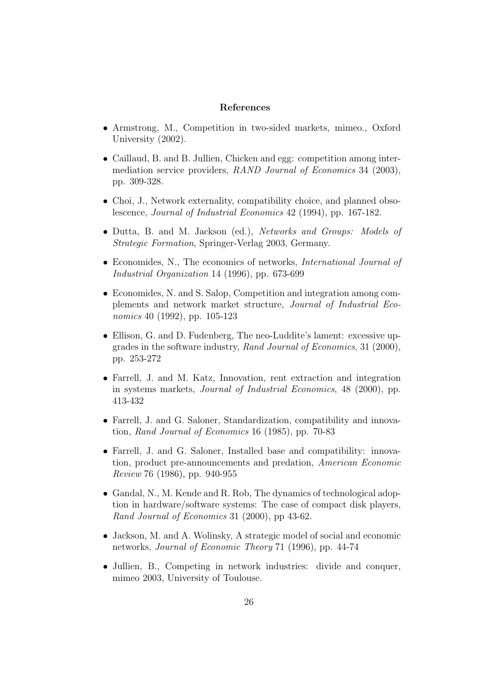#### References

- Armstrong, M., Competition in two-sided markets, mimeo., Oxford University (2002).
- Caillaud, B. and B. Jullien, Chicken and egg: competition among intermediation service providers, RAND Journal of Economics 34 (2003), pp. 309-328.
- Choi, J., Network externality, compatibility choice, and planned obsolescence, Journal of Industrial Economics 42 (1994), pp. 167-182.
- Dutta, B. and M. Jackson (ed.), Networks and Groups: Models of Strategic Formation, Springer-Verlag 2003, Germany.
- Economides, N., The economics of networks, *International Journal of* Industrial Organization 14 (1996), pp. 673-699
- Economides, N. and S. Salop, Competition and integration among complements and network market structure, Journal of Industrial Economics 40 (1992), pp. 105-123
- Ellison, G. and D. Fudenberg, The neo-Luddite's lament: excessive upgrades in the software industry, Rand Journal of Economics, 31 (2000), pp. 253-272
- Farrell, J. and M. Katz, Innovation, rent extraction and integration in systems markets, Journal of Industrial Economics, 48 (2000), pp. 413-432
- Farrell, J. and G. Saloner, Standardization, compatibility and innovation, Rand Journal of Economics 16 (1985), pp. 70-83
- Farrell, J. and G. Saloner, Installed base and compatibility: innovation, product pre-announcements and predation, American Economic Review 76 (1986), pp. 940-955
- Gandal, N., M. Kende and R. Rob, The dynamics of technological adoption in hardware/software systems: The case of compact disk players, Rand Journal of Economics 31 (2000), pp 43-62.
- Jackson, M. and A. Wolinsky, A strategic model of social and economic networks, Journal of Economic Theory 71 (1996), pp. 44-74
- Jullien, B., Competing in network industries: divide and conquer, mimeo 2003, University of Toulouse.